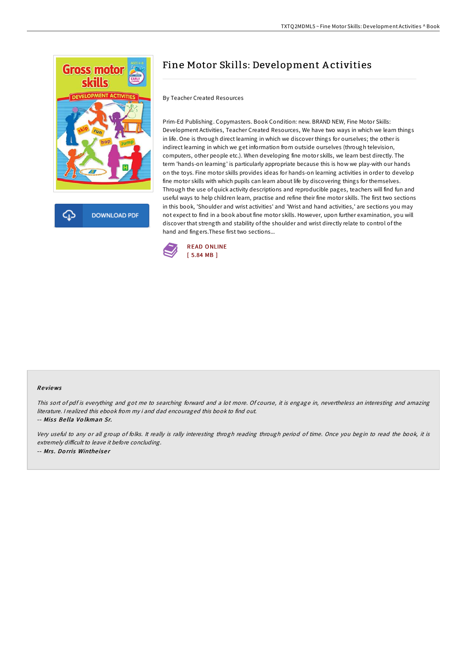

## Fine Motor Skills: Development A ctivities

By Teacher Created Resources

Prim-Ed Publishing. Copymasters. Book Condition: new. BRAND NEW, Fine Motor Skills: Development Activities, Teacher Created Resources, We have two ways in which we learn things in life. One is through direct learning in which we discover things for ourselves; the other is indirect learning in which we get information from outside ourselves (through television, computers, other people etc.). When developing fine motor skills, we learn best directly. The term 'hands-on learning' is particularly appropriate because this is how we play-with our hands on the toys. Fine motor skills provides ideas for hands-on learning activities in order to develop fine motor skills with which pupils can learn about life by discovering things for themselves. Through the use of quick activity descriptions and reproducible pages, teachers will find fun and useful ways to help children learn, practise and refine their fine motor skills. The first two sections in this book, 'Shoulder and wrist activities' and 'Wrist and hand activities,' are sections you may not expect to find in a book about fine motor skills. However, upon further examination, you will discover that strength and stability of the shoulder and wrist directly relate to control of the hand and fingers.These first two sections...



## Re views

This sort of pdf is everything and got me to searching forward and <sup>a</sup> lot more. Of course, it is engage in, nevertheless an interesting and amazing literature. <sup>I</sup> realized this ebook from my i and dad encouraged this book to find out.

-- Miss Bella Volkman Sr.

Very useful to any or all group of folks. It really is rally interesting throgh reading through period of time. Once you begin to read the book, it is extremely difficult to leave it before concluding. -- Mrs. Dorris Wintheiser